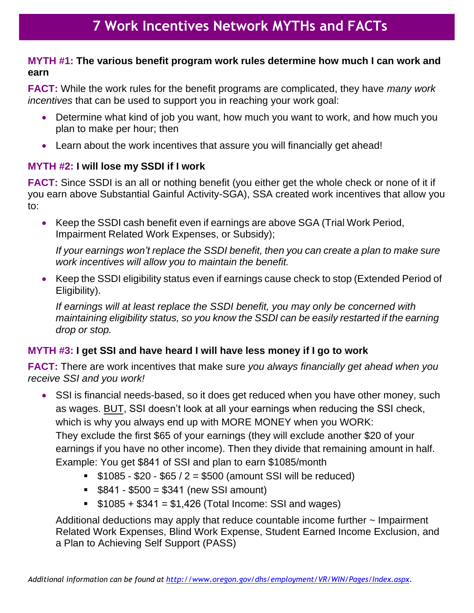### **MYTH #1: The various benefit program work rules determine how much I can work and earn**

**FACT:** While the work rules for the benefit programs are complicated, they have *many work incentives* that can be used to support you in reaching your work goal:

- Determine what kind of job you want, how much you want to work, and how much you plan to make per hour; then
- Learn about the work incentives that assure you will financially get ahead!

### **MYTH #2: I will lose my SSDI if I work**

**FACT:** Since SSDI is an all or nothing benefit (you either get the whole check or none of it if you earn above Substantial Gainful Activity-SGA), SSA created work incentives that allow you to:

• Keep the SSDI cash benefit even if earnings are above SGA (Trial Work Period, Impairment Related Work Expenses, or Subsidy);

*If your earnings won't replace the SSDI benefit, then you can create a plan to make sure work incentives will allow you to maintain the benefit.*

• Keep the SSDI eligibility status even if earnings cause check to stop (Extended Period of Eligibility).

*If earnings will at least replace the SSDI benefit, you may only be concerned with maintaining eligibility status, so you know the SSDI can be easily restarted if the earning drop or stop.*

# **MYTH #3: I get SSI and have heard I will have less money if I go to work**

**FACT:** There are work incentives that make sure *you always financially get ahead when you receive SSI and you work!*

- SSI is financial needs-based, so it does get reduced when you have other money, such as wages. BUT, SSI doesn't look at all your earnings when reducing the SSI check, which is why you always end up with MORE MONEY when you WORK: They exclude the first \$65 of your earnings (they will exclude another \$20 of your earnings if you have no other income). Then they divide that remaining amount in half. Example: You get \$841 of SSI and plan to earn \$1085/month
	- $\frac{12}{1085}$  \$20 \$65 / 2 = \$500 (amount SSI will be reduced)
	- $\$$  \$841 \$500 = \$341 (new SSI amount)
	- $$1085 + $341 = $1,426$  (Total Income: SSI and wages)

Additional deductions may apply that reduce countable income further  $\sim$  Impairment Related Work Expenses, Blind Work Expense, Student Earned Income Exclusion, and a Plan to Achieving Self Support (PASS)